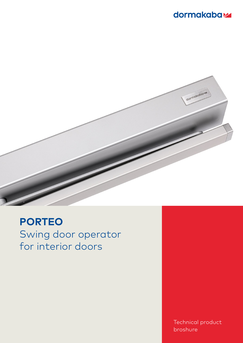## dormakabaz



# **PORTEO** Swing door operator for interior doors

Technical product broshure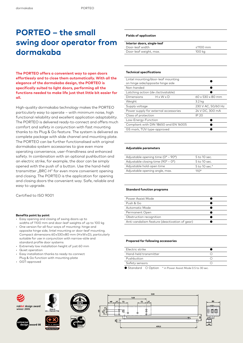# **PORTEO – the small swing door operator from dormakaba**

**The PORTEO offers a convenient way to open doors effortlessly and to close them automatically. With all the elegance of the dormakaba design, the PORTEO is specifically suited to light doors, performing all the functions needed to make life just that little bit easier for all.**

High-quality dormakaba technology makes the PORTEO particularly easy to operate – with minimum noise, high functional reliability and excellent application adaptability. The PORTEO is delivered ready-to-connect and offers much comfort and safety in conjunction with fast mounting thanks to its Plug & Go feature. The system is delivered as complete package with slide channel and mounting plate. The PORTEO can be further functionalised with original dormakaba system accessories to give even more operating convenience, user-friendliness and enhanced safety. In combination with an optional pushbutton and an electric strike, for example, the door can be simply opened with the push of a button. Use the hand-held transmitter "BRC-H" for even more convenient opening and closing. The PORTEO is the application for opening and closing doors the convenient way. Safe, reliable and easy to upgrade.

Certified to ISO 9001

#### **Benefits point by point**

- Easy opening and closing of swing doors up to
- widths of 1100 mm and door-leaf weights of up to 100 kg • One version for all four ways of mounting: hinge and opposite hinge side, lintel mounting or door-leaf mounting. Compact dimensions 60 x 530 x 80 mm (H x W x D), particularly
- suitable for use in conjunction with narrow-stile and standard profile door systems
- Extremely low installation height of just 60 mm
- Quiet operation
- Easy installation thanks to ready-to-connect
- Plug & Go function with mounting plate
- GGT-approved

### **Fields of application**

| Interior doors, single-leaf |                |
|-----------------------------|----------------|
| Door-leaf width             | $\leq 1100$ mm |
| Door-leaf weight, max.      | 100 kg         |
|                             |                |

### **Technical specifications**

| $60 \times 530 \times 80$ mm |
|------------------------------|
| 3.2 kg                       |
| 230 V AC, 50/60 Hz           |
| 24 V DC, 300 mA              |
| IP 20                        |
|                              |
|                              |
|                              |
|                              |

#### **Adjustable parameters**

| Adjustable opening time $(0^{\circ} - 90^{\circ})$ | 5 to 10 sec.  |
|----------------------------------------------------|---------------|
| Adjustable closing time $(90^{\circ} - 0^{\circ})$ | 5 to 10 sec.  |
| Adjustable hold-open time                          | 5 to 10 sec.* |
| Adjustable opening angle, max.                     | $110^{\circ}$ |

### **Standard function programs**

| Power Assist Mode                             |  |
|-----------------------------------------------|--|
| Push & Go                                     |  |
| Automatic Mode                                |  |
| Permanent Open                                |  |
| Obstruction recognition                       |  |
| Anti-vandalism feature (deactivation of gear) |  |
|                                               |  |

#### **Prepared for following accessories**

| Electric strike       |  |
|-----------------------|--|
| Hand-held transmitter |  |
| Pushbutton            |  |
| Safety sensors        |  |
|                       |  |

● Standard ○ Option \* in Power Assist Mode 0.5 to 30 sec.

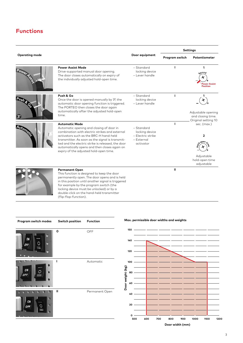## **Functions**

|                           |                                                                                                                                                                                                                                                                                                                                                                 |                                                                              | <b>Settings</b> |                                                                                                    |
|---------------------------|-----------------------------------------------------------------------------------------------------------------------------------------------------------------------------------------------------------------------------------------------------------------------------------------------------------------------------------------------------------------|------------------------------------------------------------------------------|-----------------|----------------------------------------------------------------------------------------------------|
| <b>Operating mode</b>     |                                                                                                                                                                                                                                                                                                                                                                 | Door equipment                                                               | Program switch  | Potentiometer                                                                                      |
| Power 7 cm                | <b>Power Assist Mode</b><br>Drive-supported manual door opening.<br>The door closes automatically on expiry of<br>the individually adjusted hold-open time.                                                                                                                                                                                                     | - Standard<br>locking device<br>- Lever handle                               | п               | 1<br>.oeed<br><b>Ower Assist</b><br><b>Position</b>                                                |
| <b>EUSAR</b><br>$3^\circ$ | Push & Go<br>Once the door is opened manually by 3°, the<br>automatic door opening function is triggered.<br>The PORTEO then closes the door again<br>automatically after the adjusted hold-open<br>time.                                                                                                                                                       | - Standard<br>locking device<br>- Lever handle                               |                 | Adjustable opening<br>and closing time.                                                            |
| <b>AUTOMORE</b>           | <b>Automatic Mode</b><br>Automatic opening and closing of door in<br>combination with electric strikes and external<br>activators such as the BRC-H hand-held<br>transmitter. As soon as the signal is transmit-<br>ted and the electric strike is released, the door<br>automatically opens and then closes again on<br>expiry of the adjusted hold-open time. | - Standard<br>locking device<br>- Electric strike<br>- External<br>activator |                 | Original setting 10<br>sec. (max.)<br>$\overline{2}$<br>Adjustable<br>hold-open time<br>adjustable |
|                           | <b>Permanent Open</b><br>This function is designed to keep the door<br>permanently open. The door opens and is held<br>in this position until another signal is triggered<br>for example by the program switch (the<br>locking device must be unlocked) or by a<br>double-click on the hand-held transmitter.                                                   |                                                                              | $\mathbf{H}$    |                                                                                                    |

| Program switch modes | Switch position | <b>Function</b> | Max. permissible door widths and weights                     |  |  |
|----------------------|-----------------|-----------------|--------------------------------------------------------------|--|--|
|                      | O               | OFF             | $150 -$                                                      |  |  |
| ON<br>O<br>ner       |                 |                 | 140                                                          |  |  |
|                      |                 |                 | 120                                                          |  |  |
|                      |                 | Automatic       | 100                                                          |  |  |
| ON<br>O<br>OFF       |                 |                 | Door weight (kg)<br>80                                       |  |  |
|                      |                 |                 | 60                                                           |  |  |
|                      | Ш               | Permanent Open  | 40                                                           |  |  |
| on<br>O<br>nee       |                 |                 | 20                                                           |  |  |
|                      |                 |                 | o<br>500<br>600<br>700<br>800<br>900<br>1000<br>1200<br>1100 |  |  |

double-click on the hand-held transmitter

(flip-flop-function).

**Door width (mm)**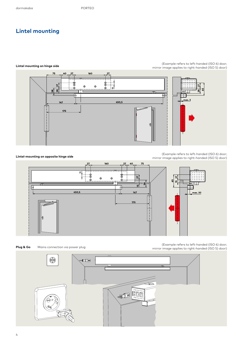## **Lintel mounting**



**LIntel-mounting on opposite hinge side**

(Example refers to left-handed (ISO 6) door; mirror image applies to right-handed (ISO 5) door)



Mains connection via power plug

(Example refers to left-handed (ISO 6) door;<br>mirror image applies to right-handed (ISO 5) door) minimage applies to right-handed (ISO 5) door)



Example refers to left-handed (ISO 6) door;<br>**Lintel mounting on hinge side** examples to right-handed (ISO 5) door; mirror image applies to right-handed (ISO 5) door)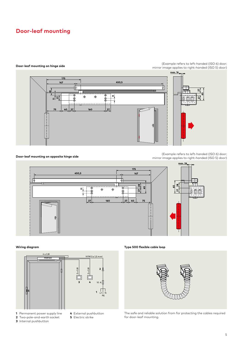## **Door-leaf mounting**



(Example refers to left-handed (ISO 6) door; mirror image applies to right-handed (ISO 5) door)

**Door-leaf mounting on opposite hinge side**

(Example refers to left-handed (ISO 6) door; mirror image applies to right-handed (ISO 5) door)





- **1** Permanent power supply line
- **2** Two-pole-and-earth socket
- **3** Internal pushbutton
- **4** External pushbutton
- **5** Electric strike
- 

**Wiring diagram Type 500 flexible cable loop**



The safe and reliable solution from for protecting the cables required for door-leaf mounting.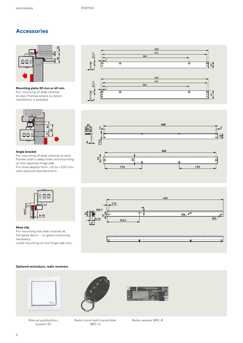### **Accessories**



**Mounting plate 30 mm or 40 mm** For mounting of slide channel at door frames where no direct installation is possible.



### **Angle bracket**

For mounting of slide channel at door frames with a deep lintel and mounting on the opposite hinge side. For lintel depths from –20 to +200 mm with optional standard arm.







### **Shoe clip**

**min.5**

For mounting the slide channel at full-glass doors – no glass machining necessary.

**8–10**

Lintel mounting on the hinge side only.

### **Optional activators, radio receivers**



Manual pushbutton, System 55





Radio hand-held transmitter BRC-H

Radio receiver BRC-R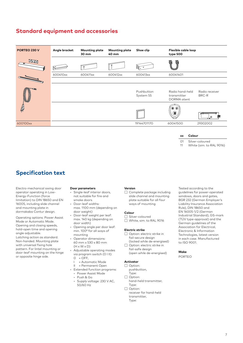### **Standard equipment and accessories**

| $\frac{1}{\alpha}$ |                         | <b>BUSHE</b>                                  |                         |
|--------------------|-------------------------|-----------------------------------------------|-------------------------|
| 600412xx           | 600413xx                | 60041401                                      |                         |
|                    | Pushbutton<br>System 55 | Radio hand-held<br>transmitter<br>DORMA atent | Radio receiver<br>BRC-R |
|                    |                         | $\circledcirc$<br>O                           | 〓                       |
|                    | 19144701170             | 60041500                                      | 29302002                |
|                    |                         |                                               |                         |

**Specification text**

Electro-mechanical swing door operator operating in Low-Energy-Function (force limitation) to DIN 18650 and EN 16005, including slide channel and mounting plate in dormakaba Contur design.

Operating options: Power Assist Mode or Automatic Mode. Opening and closing speeds, hold-open time and opening angle adjustable.

Latching action as standard. Non-handed. Mounting plate with universal fixing hole pattern. For lintel mounting or door-leaf mounting on the hinge or opposite hinge side.

### **Door parameters**

- Single-leaf interior doors, not suitable for fire and smoke doors
- Door-leaf widths: max. 1100 mm (depending on door weight)
- Door-leaf weight per leaf: max. 140 kg (depending on door width)
- Opening angle per door leaf: min. 100° for all ways of mounting
- Operator dimensions: 60 mm x 530 x 80 mm  $(H \times W \times D)$
- Adjustable operating modes via program switch (0 I II):  $Q = QFE$ 
	- I = Automatic Mode
	- II = Permanent Open
- Extended function programs:
- Power Assist Mode • Push & Go
- Supply voltage: 230 V AC, 50/60 Hz

### **Version**

☐ Complete package including slide channel and mounting plate suitable for all four ways of mounting

### **Colour**

- ☐ Silver-coloured
- ☐ White, sim. to RAL 9016

### **Electric strike**

- ☐ Option: electric strike in fail-secure design (locked while de-energised)
- ☐ Option: electric strike in fail-safe design (open while de-energised)

### **Activator**

- ☐ Option: pushbutton,
- Type: □ Option:
- hand-held transmitter, Type:
- ☐ Option: receiver for hand-held transmitter, Type:

Tested according to the guidelines for power-operated windows, doors and gates, BGR 232 (German Employer's Liability Insurance Association Rule), DIN 18650 and EN 16005-1/2 (German Industrial Standard), GS-mark (TÜV type-approval) and the German guidelines of the Association for Electrical, Electronic & Information Technologies, latest version in each case. Manufactured to ISO 9001.

### **Make**

PORTEO

**xx Colour**

Silver-coloured

White (sim. to RAL 9016)

 $\Omega$ 1 11